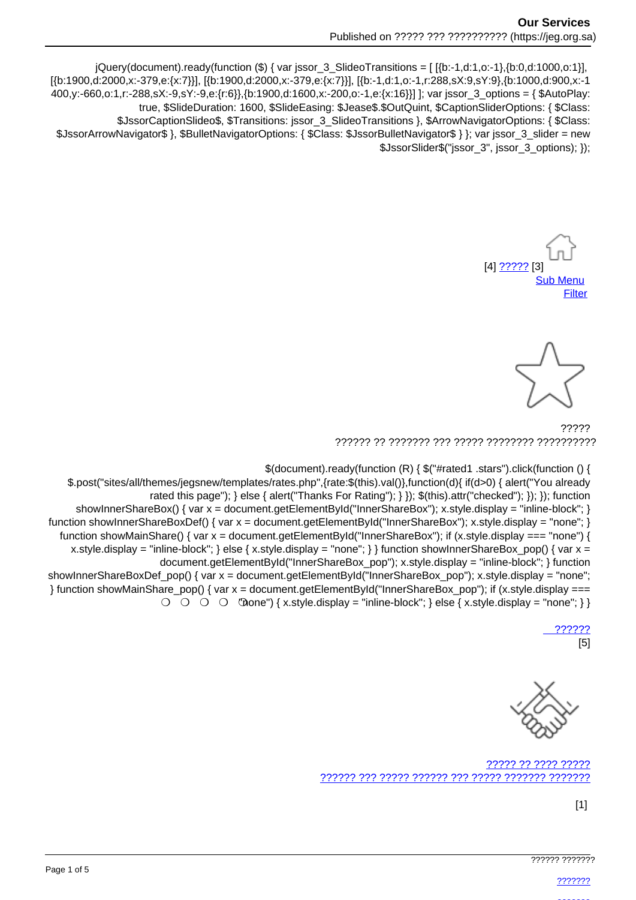jQuery(document).ready(function (\$) { var jssor\_3\_SlideoTransitions = [[{b:-1,d:1,o:-1},{b:0,d:1000,o:1}], [{b:1900.d:2000.x:-379.e:{x:7}}], [{b:1900.d:2000.x:-379.e:{x:7}}], [{b:-1.d:1.o:-1.r:288.sX:9.sY:9}, {b:1000.d:900.x:-1 400,y:-660,o:1,r:-288,sX:-9,sY:-9,e:{r:6}},{b:1900,d:1600,x:-200,o:-1,e:{x:16}}] ]; var jssor\_3\_options = { \$AutoPlay: true, \$SlideDuration: 1600, \$SlideEasing: \$Jease\$.\$OutQuint, \$CaptionSliderOptions: { \$Class: \$JssorCaptionSlideo\$, \$Transitions: jssor\_3\_SlideoTransitions }, \$ArrowNavigatorOptions: { \$Class: \$JssorArrowNavigator\$ }, \$BulletNavigatorOptions: { \$Class: \$JssorBulletNavigator\$ } }; var jssor\_3\_slider = new \$JssorSlider\$("jssor 3", jssor 3 options); });

 $[4]$  ????? [3] **Sub Menu** Filter



77777 

\$(document).ready(function (R) { \$("#rated1 .stars").click(function () {

\$.post("sites/all/themes/jegsnew/templates/rates.php",{rate:\$(this).val()},function(d){ if(d>0) { alert("You already rated this page"); } else { alert("Thanks For Rating"); } }); \$(this).attr("checked"); }); }); function showInnerShareBox() { var  $x =$  document.getElementById("InnerShareBox"); x.style.display = "inline-block"; } function showInnerShareBoxDef() { var x = document.getElementById("InnerShareBox"); x.style.display = "none"; } function showMainShare() { var  $x =$  document.getElementById("InnerShareBox"); if (x.style.display === "none") { x.style.display = "inline-block"; } else { x.style.display = "none"; } } function show Inner ShareBox pop() { var  $x =$ document.getElementById("InnerShareBox pop"); x.style.display = "inline-block"; } function showInnerShareBoxDef\_pop() { var x = document.getElementById("InnerShareBox\_pop"); x.style.display = "none"; } function showMainShare\_pop() { var x = document.getElementById("InnerShareBox\_pop"); if (x.style.display ===  $\overline{O}$   $\overline{O}$   $\overline{O}$   $\overline{O}$   $\overline{O}$   $\overline{O}$   $\overline{O}$   $\overline{O}$   $\overline{O}$   $\overline{O}$   $\overline{O}$   $\overline{O}$   $\overline{O}$   $\overline{O}$   $\overline{O}$   $\overline{O}$   $\overline{O}$   $\overline{O}$   $\overline{O}$   $\overline{O}$   $\overline{O}$   $\overline{O}$   $\overline{O}$   $\overline{O}$   $\overline{$ 

 $[5]$ 



,,,,,,,,,,,,,,,,,,, 

 $[1]$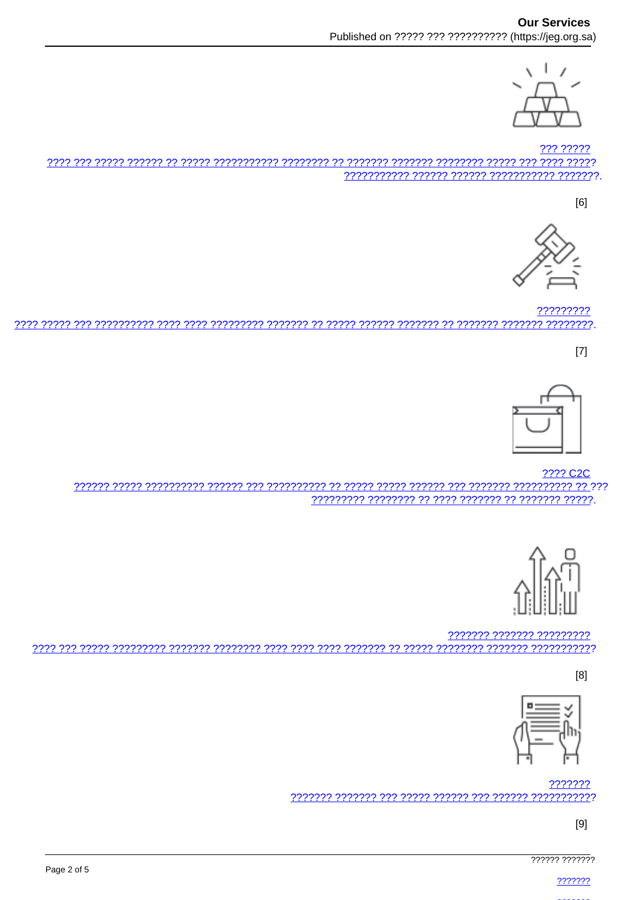

??? ????? 

 $[6]$ 



????????? <u>רדרדרדרד רדרדרד רדרדרד רד רדרדרדר רדרדרד הדרדרד רדרדר רד רדרדרדר רדרדרדר רדרד רדרד רדרדרדרדרד רדר דרדרד רדרד </u>

 $[7]$ 



**???? C2C** 



??????? ??????? ????????? 

 $[8]$ 



7777777 

 $[9]$ 

777777 7777777

2222222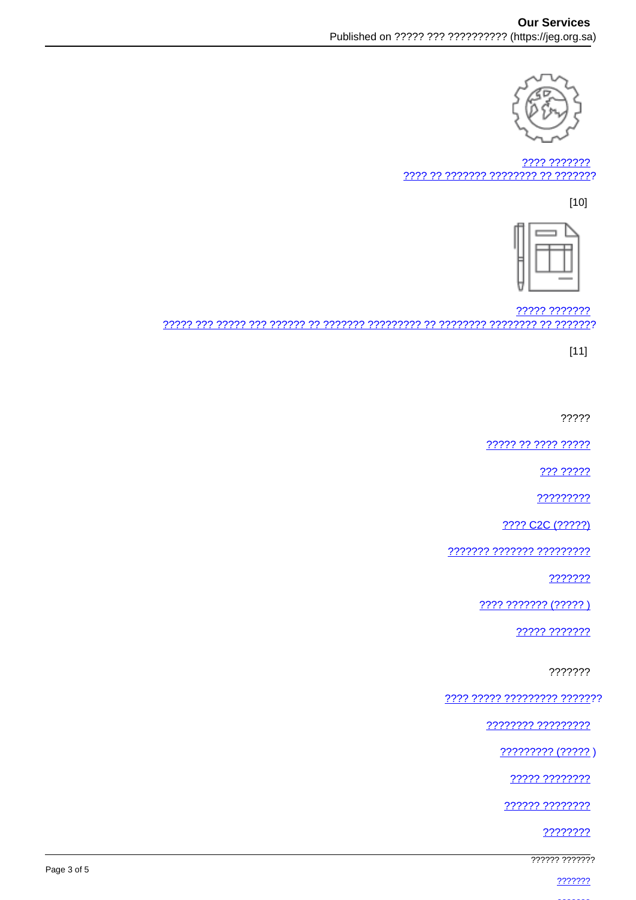

???? ??????? 7777 77 7777777 77777777 77 7777777

 $[10]$ 



????? ??????? 

 $[11]$ 

?????

????? ?? ???? ?????

<u> ??? ?????</u>

?????????

???? C2C (?????)

??????? ??????? ?????????

???????

???? ??????? (?????)

22222 2222222

???????

<u> ???? ????? ????????? ???????</u>

???????? ?????????

 $????????? (?????)$ 

????? ????????

?????? ????????

????????

777777 7777777

2222222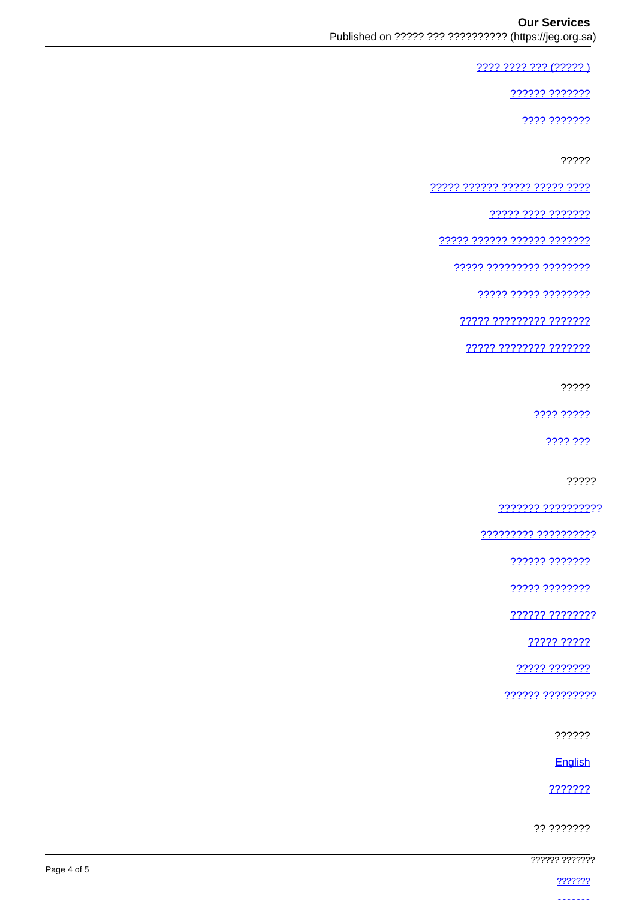???? ???? ??? (????? )

222222 2222222

???? ???????

?????

<u> ????? ?????? ????? ????? ????</u>

77777 7777 7777777

????? ?????? ?????? ???????

????? ????????? ????????

22222 22222 22222222

77777 777777777 7777777

<u> ????? ???????? ????????</u>

?????

???? ?????

2222.222

?????

<u>??????? ?????????</u>??

????????? ??????????

?????? ???????

????? ????????

?????? ????????

????? ?????

22222 2222222

?????? ?????????

??????

English

???????

?? ???????

777777 7777777

2222222